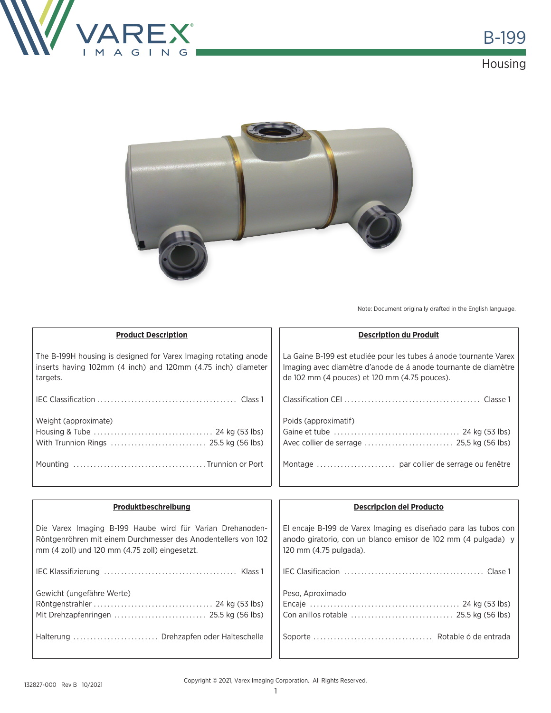





Note: Document originally drafted in the English language.

| <b>Product Description</b>                                                                                                                  | <b>Description du Produit</b>                                                                                                                                                        |
|---------------------------------------------------------------------------------------------------------------------------------------------|--------------------------------------------------------------------------------------------------------------------------------------------------------------------------------------|
| The B-199H housing is designed for Varex Imaging rotating anode<br>inserts having 102mm (4 inch) and 120mm (4.75 inch) diameter<br>targets. | La Gaine B-199 est etudiée pour les tubes á anode tournante Varex<br>Imaging avec diamètre d'anode de à anode tournante de diamètre<br>de 102 mm (4 pouces) et 120 mm (4.75 pouces). |
|                                                                                                                                             |                                                                                                                                                                                      |
| Weight (approximate)                                                                                                                        | Poids (approximatif)                                                                                                                                                                 |
|                                                                                                                                             |                                                                                                                                                                                      |
|                                                                                                                                             |                                                                                                                                                                                      |
|                                                                                                                                             |                                                                                                                                                                                      |
|                                                                                                                                             |                                                                                                                                                                                      |

| Produktbeschreibung                                                                                                                                                          | <b>Descripcion del Producto</b>                                                                                                                            |
|------------------------------------------------------------------------------------------------------------------------------------------------------------------------------|------------------------------------------------------------------------------------------------------------------------------------------------------------|
| Die Varex Imaging B-199 Haube wird für Varian Drehanoden-<br>Röntgenröhren mit einem Durchmesser des Anodentellers von 102<br>mm (4 zoll) und 120 mm (4.75 zoll) eingesetzt. | El encaje B-199 de Varex Imaging es diseñado para las tubos con<br>anodo giratorio, con un blanco emisor de 102 mm (4 pulgada) y<br>120 mm (4.75 pulgada). |
|                                                                                                                                                                              |                                                                                                                                                            |
| Gewicht (ungefähre Werte)                                                                                                                                                    | Peso, Aproximado                                                                                                                                           |
| Halterung  Drehzapfen oder Halteschelle                                                                                                                                      |                                                                                                                                                            |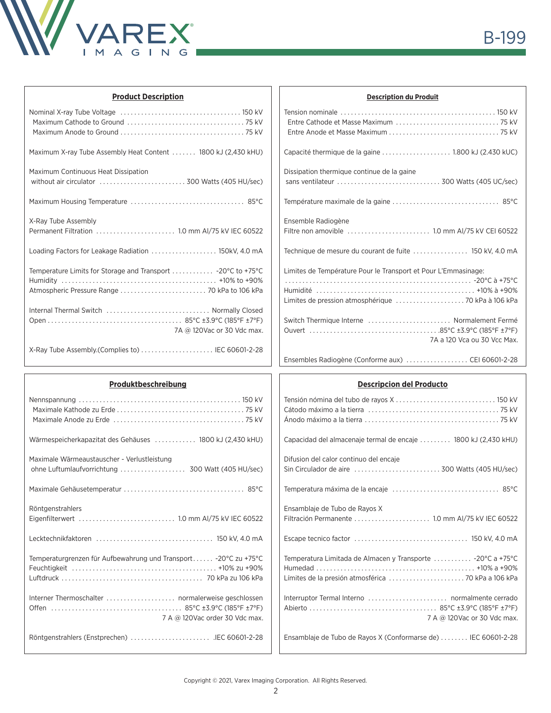

| <b>Product Description</b>                                                                                    | <b>Description du Produit</b>                                  |
|---------------------------------------------------------------------------------------------------------------|----------------------------------------------------------------|
|                                                                                                               |                                                                |
|                                                                                                               |                                                                |
|                                                                                                               |                                                                |
| Maximum X-ray Tube Assembly Heat Content  1800 kJ (2,430 kHU)                                                 | Capacité thermique de la gaine 1.800 kJ (2.430 kUC)            |
| Maximum Continuous Heat Dissipation                                                                           | Dissipation thermique continue de la gaine                     |
|                                                                                                               |                                                                |
|                                                                                                               |                                                                |
| X-Ray Tube Assembly                                                                                           | Ensemble Radiogène                                             |
|                                                                                                               |                                                                |
| Loading Factors for Leakage Radiation  150kV, 4.0 mA                                                          |                                                                |
| Temperature Limits for Storage and Transport  -20°C to +75°C<br>Atmospheric Pressure Range  70 kPa to 106 kPa | Limites de Température Pour le Transport et Pour L'Emmasinage: |
| Internal Thermal Switch  Normally Closed                                                                      | Switch Thermique Interne  Normalement Fermé                    |
|                                                                                                               |                                                                |
| 7A @ 120Vac or 30 Vdc max.                                                                                    | 7A a 120 Vca ou 30 Vcc Max.                                    |
|                                                                                                               |                                                                |
|                                                                                                               |                                                                |
| Produktbeschreibung                                                                                           | <b>Descripcion del Producto</b>                                |
|                                                                                                               |                                                                |
|                                                                                                               |                                                                |
|                                                                                                               |                                                                |
| Wärmespeicherkapazitat des Gehäuses  1800 kJ (2,430 kHU)                                                      | Capacidad del almacenaje termal de encaje  1800 kJ (2,430 kHU) |
| Maximale Wärmeaustauscher - Verlustleistung                                                                   | Difusion del calor continuo del encaje                         |
|                                                                                                               | Sin Circulador de aire  300 Watts (405 HU/sec)                 |
| $85^{\circ}$ C                                                                                                | 85°C                                                           |
|                                                                                                               | Temperatura máxima de la encaje                                |
| Röntgenstrahlers                                                                                              | Ensamblaje de Tubo de Rayos X                                  |
|                                                                                                               | Filtración Permanente  1.0 mm Al/75 kV IEC 60522               |
|                                                                                                               |                                                                |
| Temperaturgrenzen für Aufbewahrung und Transport - 20°C zu +75°C                                              | Temperatura Limitada de Almacen y Transporte  -20°C a +75°C    |
|                                                                                                               |                                                                |
|                                                                                                               |                                                                |
|                                                                                                               |                                                                |
|                                                                                                               |                                                                |
| 7 A @ 120Vac order 30 Vdc max.                                                                                | 7 A @ 120Vac or 30 Vdc max.                                    |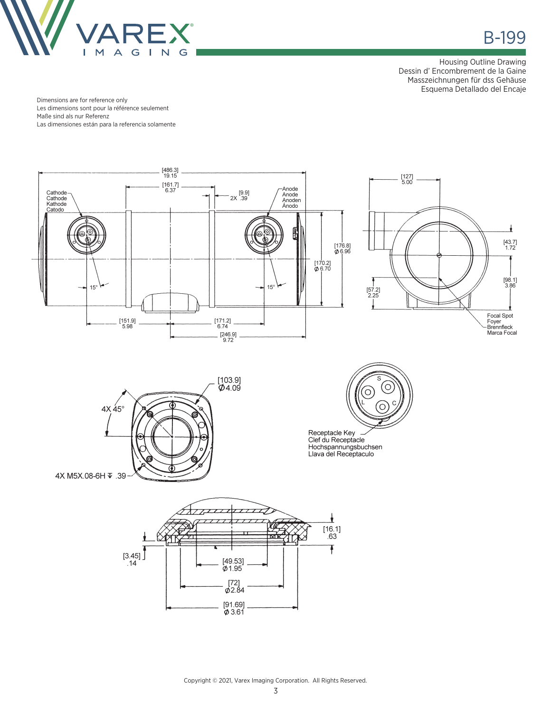

в в село в село в село в село в 199 <del>в година в 199 в година в село в 199</del> в 199 в година в 199 в година в 199

Housing Outline Drawing Dessin d' Encombrement de la Gaine Masszeichnungen für dss Gehäuse Esquema Detallado del Encaje

Dimensions are for reference only Les dimensions sont pour la référence seulement Maße sind als nur Referenz Las dimensiones están para la referencia solamente



 $[91.69]$ <br> $\phi$  3.61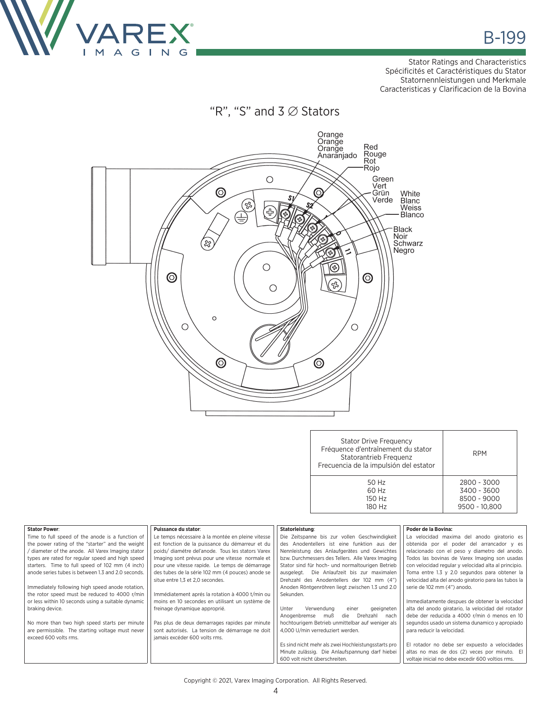

Stator Ratings and Characteristics Spécificités et Caractéristiques du Stator Statornennleistungen und Merkmale Caracteristicas y Clarificacion de la Bovina

"R", "S" and 3 ∅ Stators



| <b>Stator Drive Frequency</b><br>Fréquence d'entraînement du stator<br>Statorantrieb Frequenz<br>Frecuencia de la impulsión del estator | <b>RPM</b>    |
|-----------------------------------------------------------------------------------------------------------------------------------------|---------------|
| 50 Hz                                                                                                                                   | 2800 - 3000   |
| 60 Hz                                                                                                                                   | 3400 - 3600   |
| 150 Hz                                                                                                                                  | 8500 - 9000   |
| 180 Hz                                                                                                                                  | 9500 - 10.800 |

| <b>Stator Power:</b>                               | Puissance du stator:                              | Statorleistung:                                     | Poder de la Bovina:                                  |
|----------------------------------------------------|---------------------------------------------------|-----------------------------------------------------|------------------------------------------------------|
|                                                    |                                                   |                                                     |                                                      |
| Time to full speed of the anode is a function of   | Le temps nécessaire à la montée en pleine vitesse | Die Zeitspanne bis zur vollen Geschwindigkeit       | La velocidad maxima del anodo giratorio es           |
| the power rating of the "starter" and the weight   | est fonction de la puissance du démarreur et du   | des Anodentellers ist eine funktion aus der         | obtenida por el poder del arrancador y es            |
| / diameter of the anode. All Varex Imaging stator  | poids/diamétre del'anode. Tous les stators Varex  | Nennleistung des Anlaufgerätes und Gewichtes        | relacionado con el peso y diametro del anodo.        |
| types are rated for regular speed and high speed   | Imaging sont prévus pour une vitesse normale et   | bzw. Durchmessers des Tellers. Alle Varex Imaging   | Todos las bovinas de Varex Imaging son usadas        |
| starters. Time to full speed of 102 mm (4 inch)    | pour une vitesse rapide. Le temps de démarrage    | Stator sind für hoch- und normaltourigen Betrieb    | con velocidad regular y velocidad alta al principio. |
| anode series tubes is between 1.3 and 2.0 seconds. | des tubes de la série 102 mm (4 pouces) anode se  | Die Anlaufzeit bis zur maximalen<br>ausgelegt.      | Toma entre 1.3 y 2.0 segundos para obtener la        |
|                                                    | situe entre 1,3 et 2,0 secondes.                  | Drehzahl des Anodentellers der 102 mm (4")          | velocidad alta del anodo giratorio para las tubos la |
| Immediately following high speed anode rotation,   |                                                   | Anoden Röntgenröhren liegt zwischen 1.3 und 2.0     | serie de 102 mm (4") anodo.                          |
| the rotor speed must be reduced to 4000 r/min      | Immédiatement aprés la rotation à 4000 t/min ou   | Sekunden.                                           |                                                      |
| or less within 10 seconds using a suitable dynamic | moins en 10 secondes en utilisant un système de   |                                                     | Immediatamente despues de obtener la velocidad       |
| braking device.                                    | freinage dynamique approprié.                     | Verwendung<br>Unter<br>geeigneten<br>einer          | alta del anodo giratario, la velocidad del rotador   |
|                                                    |                                                   | Anogenbremse<br>Drehzahl<br>muß<br>die<br>nach      | debe der reducida a 4000 r/min ó menos en 10         |
| No more than two high speed starts per minute      | Pas plus de deux demarrages rapides par minute    | hochtourigem Betrieb unmittelbar auf weniger als    | segundos usado un sistema dunamico y apropiado       |
| are permissible. The starting voltage must never   | sont autorisés. La tension de démarrage ne doit   | 4.000 U/min verreduziert werden.                    | para reducir la velocidad.                           |
| exceed 600 volts rms.                              | jamais excéder 600 volts rms.                     |                                                     |                                                      |
|                                                    |                                                   | Es sind nicht mehr als zwei Hochleistungsstarts pro | El rotador no debe ser expuesto a velocidades        |
|                                                    |                                                   | Minute zulässig. Die Anlaufspannung darf hiebei     | altas no mas de dos (2) veces por minuto. El         |
|                                                    |                                                   | 600 volt nicht überschreiten.                       | voltaje inicial no debe excedir 600 voltios rms.     |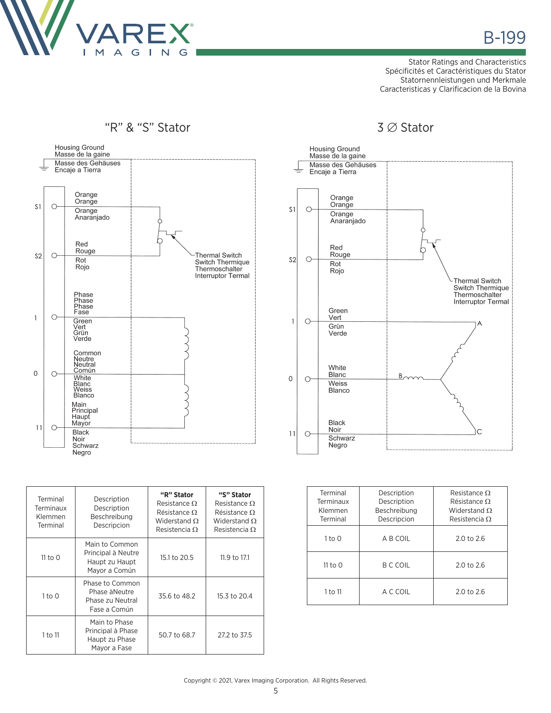

Stator Ratings and Characteristics Spécificités et Caractéristiques du Stator Statornennleistungen und Merkmale Caracteristicas y Clarificacion de la Bovina



| Terminal<br>Terminaux<br>Klemmen<br>Terminal | Description<br>Description<br>Beschreibung<br>Descripcion               | "R" Stator<br>Resistance $\Omega$<br>Résistance $\Omega$<br>Widerstand $\Omega$<br>Resistencia $\Omega$ | "S" Stator<br>Resistance $\Omega$<br>Résistance $\Omega$<br>Widerstand O.<br>Resistencia $\Omega$ |
|----------------------------------------------|-------------------------------------------------------------------------|---------------------------------------------------------------------------------------------------------|---------------------------------------------------------------------------------------------------|
| $11$ to $0$                                  | Main to Common<br>Principal à Neutre<br>Haupt zu Haupt<br>Mayor a Común | 15.1 to 20.5                                                                                            | 11.9 to 17.1                                                                                      |
| $1$ to $0$                                   | Phase to Common<br>Phase à Neutre<br>Phase zu Neutral<br>Fase a Común   | 35.6 to 48.2                                                                                            | 15.3 to 20.4                                                                                      |
| 1 to 11                                      | Main to Phase<br>Principal à Phase<br>Haupt zu Phase<br>Mayor a Fase    | 50.7 to 68.7                                                                                            | 27.2 to 37.5                                                                                      |



| Terminal<br>Terminaux<br>Klemmen<br>Terminal | Description<br>Description<br>Beschreibung<br>Descripcion | Resistance O<br>Résistance O<br>Widerstand $\Omega$<br>Resistencia $\Omega$ |
|----------------------------------------------|-----------------------------------------------------------|-----------------------------------------------------------------------------|
| 1 to 0                                       | A B COIL                                                  | $2.0 \text{ to } 2.6$                                                       |
| 11 to $\Omega$                               | B C COIL                                                  | $2.0 \text{ to } 2.6$                                                       |
| 1 to 11                                      | A C COIL                                                  | $2.0 \text{ to } 2.6$                                                       |

Copyright © 2021, Varex Imaging Corporation. All Rights Reserved.